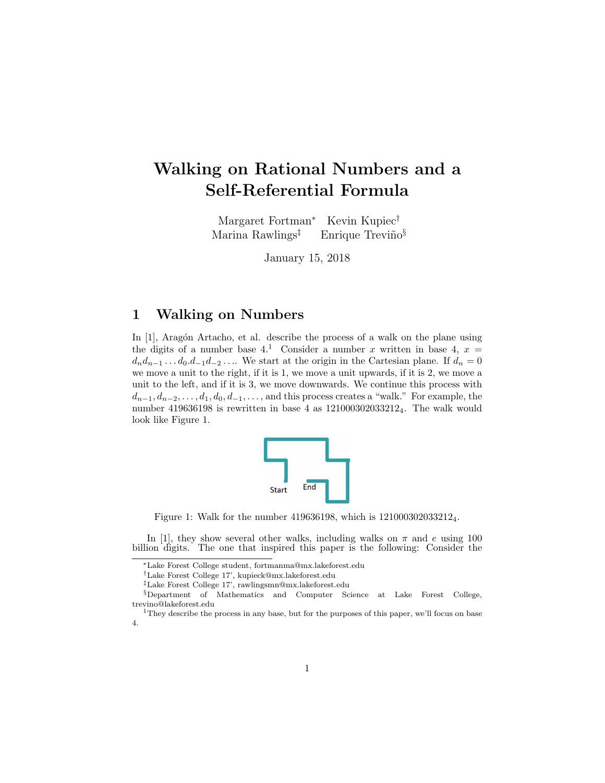## Walking on Rational Numbers and a Self-Referential Formula

Margaret Fortman<sup>∗</sup> Kevin Kupiec† Marina Rawlings<sup> $\ddagger$ </sup> Enrique Treviño<sup>§</sup>

January 15, 2018

#### 1 Walking on Numbers

In [1], Aragón Artacho, et al. describe the process of a walk on the plane using the digits of a number base 4.<sup>1</sup> Consider a number x written in base 4,  $x =$  $d_n d_{n-1} \ldots d_0 d_{-1} d_{-2} \ldots$  We start at the origin in the Cartesian plane. If  $d_n = 0$ we move a unit to the right, if it is 1, we move a unit upwards, if it is 2, we move a unit to the left, and if it is 3, we move downwards. We continue this process with  $d_{n-1}, d_{n-2}, \ldots, d_1, d_0, d_{-1}, \ldots$ , and this process creates a "walk." For example, the number 419636198 is rewritten in base 4 as 1210003020332124. The walk would look like Figure 1.



Figure 1: Walk for the number 419636198, which is 1210003020332124.

In [1], they show several other walks, including walks on  $\pi$  and e using 100 billion digits. The one that inspired this paper is the following: Consider the

<sup>∗</sup>Lake Forest College student, fortmanma@mx.lakeforest.edu

<sup>†</sup>Lake Forest College 17', kupieck@mx.lakeforest.edu

<sup>‡</sup>Lake Forest College 17', rawlingsmn@mx.lakeforest.edu

<sup>§</sup>Department of Mathematics and Computer Science at Lake Forest College, trevino@lakeforest.edu

<sup>&</sup>lt;sup>1</sup>They describe the process in any base, but for the purposes of this paper, we'll focus on base 4.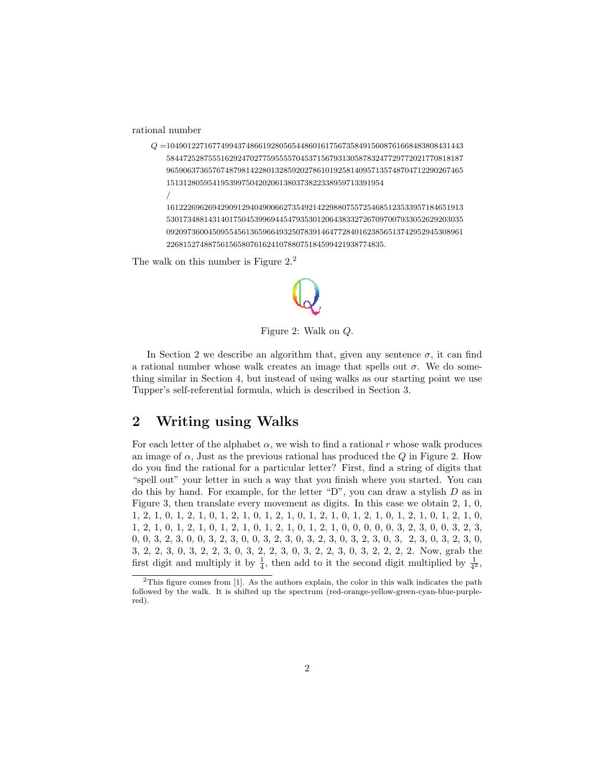rational number

/

Q =10490122716774994374866192805654486016175673584915608761668483808431443 58447252875551629247027759555570453715679313058783247729772021770818187 96590637365767487981422801328592027861019258140957135748704712290267465 1513128059541953997504202061380373822338959713391954

16122269626942909129404900662735492142298807557254685123533957184651913 53017348814314017504539969445479353012064383327267097007933052629203035 09209736004509554561365966493250783914647728401623856513742952945308961 2268152748875615658076162410788075184599421938774835.

The walk on this number is Figure  $2<sup>2</sup>$ .



Figure 2: Walk on Q.

In Section 2 we describe an algorithm that, given any sentence  $\sigma$ , it can find a rational number whose walk creates an image that spells out  $\sigma$ . We do something similar in Section 4, but instead of using walks as our starting point we use Tupper's self-referential formula, which is described in Section 3.

#### 2 Writing using Walks

For each letter of the alphabet  $\alpha$ , we wish to find a rational r whose walk produces an image of  $\alpha$ , Just as the previous rational has produced the Q in Figure 2. How do you find the rational for a particular letter? First, find a string of digits that "spell out" your letter in such a way that you finish where you started. You can do this by hand. For example, for the letter "D", you can draw a stylish  $D$  as in Figure 3, then translate every movement as digits. In this case we obtain 2, 1, 0, 1, 2, 1, 0, 1, 2, 1, 0, 1, 2, 1, 0, 1, 2, 1, 0, 1, 2, 1, 0, 1, 2, 1, 0, 1, 2, 1, 0, 1, 2, 1, 0, 1, 2, 1, 0, 1, 2, 1, 0, 1, 2, 1, 0, 1, 2, 1, 0, 1, 2, 1, 0, 0, 0, 0, 0, 3, 2, 3, 0, 0, 3, 2, 3, 0, 0, 3, 2, 3, 0, 0, 3, 2, 3, 0, 0, 3, 2, 3, 0, 3, 2, 3, 0, 3, 2, 3, 0, 3, 2, 3, 0, 3, 2, 3, 0, 3, 2, 2, 3, 0, 3, 2, 2, 3, 0, 3, 2, 2, 3, 0, 3, 2, 2, 3, 0, 3, 2, 2, 2, 2. Now, grab the first digit and multiply it by  $\frac{1}{4}$ , then add to it the second digit multiplied by  $\frac{1}{4^2}$ ,

<sup>&</sup>lt;sup>2</sup>This figure comes from [1]. As the authors explain, the color in this walk indicates the path followed by the walk. It is shifted up the spectrum (red-orange-yellow-green-cyan-blue-purplered).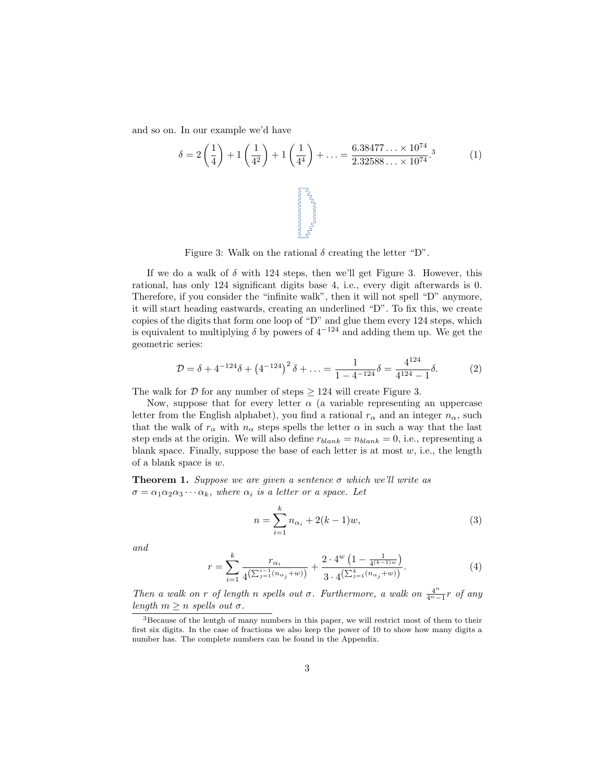and so on. In our example we'd have

$$
\delta = 2\left(\frac{1}{4}\right) + 1\left(\frac{1}{4^2}\right) + 1\left(\frac{1}{4^4}\right) + \dots = \frac{6.38477\ldots \times 10^{74}}{2.32588\ldots \times 10^{74}}^{3} \tag{1}
$$

Figure 3: Walk on the rational  $\delta$  creating the letter "D".

If we do a walk of  $\delta$  with 124 steps, then we'll get Figure 3. However, this rational, has only 124 significant digits base 4, i.e., every digit afterwards is 0. Therefore, if you consider the "infinite walk", then it will not spell "D" anymore, it will start heading eastwards, creating an underlined "D". To fix this, we create copies of the digits that form one loop of "D" and glue them every 124 steps, which is equivalent to multiplying  $\delta$  by powers of  $4^{-124}$  and adding them up. We get the geometric series:

$$
\mathcal{D} = \delta + 4^{-124} \delta + \left( 4^{-124} \right)^2 \delta + \ldots = \frac{1}{1 - 4^{-124}} \delta = \frac{4^{124}}{4^{124} - 1} \delta. \tag{2}
$$

The walk for  $D$  for any number of steps  $\geq 124$  will create Figure 3.

Now, suppose that for every letter  $\alpha$  (a variable representing an uppercase letter from the English alphabet), you find a rational  $r_{\alpha}$  and an integer  $n_{\alpha}$ , such that the walk of  $r_{\alpha}$  with  $n_{\alpha}$  steps spells the letter  $\alpha$  in such a way that the last step ends at the origin. We will also define  $r_{blank} = n_{blank} = 0$ , i.e., representing a blank space. Finally, suppose the base of each letter is at most  $w$ , i.e., the length of a blank space is w.

**Theorem 1.** Suppose we are given a sentence  $\sigma$  which we'll write as  $\sigma = \alpha_1 \alpha_2 \alpha_3 \cdots \alpha_k$ , where  $\alpha_i$  is a letter or a space. Let

$$
n = \sum_{i=1}^{k} n_{\alpha_i} + 2(k-1)w,
$$
\n(3)

and

$$
r = \sum_{i=1}^{k} \frac{r_{\alpha_i}}{4\left(\sum_{j=1}^{i-1} (n_{\alpha_j} + w)\right)} + \frac{2 \cdot 4^w \left(1 - \frac{1}{4^{(k-1)w}}\right)}{3 \cdot 4^{\left(\sum_{j=1}^{k} (n_{\alpha_j} + w)\right)}}.
$$
(4)

Then a walk on r of length n spells out  $\sigma$ . Furthermore, a walk on  $\frac{4^n}{4^n-1}$  $\frac{4^n}{4^n-1}$ r of any length  $m \geq n$  spells out  $\sigma$ .

<sup>3</sup>Because of the lentgh of many numbers in this paper, we will restrict most of them to their first six digits. In the case of fractions we also keep the power of 10 to show how many digits a number has. The complete numbers can be found in the Appendix.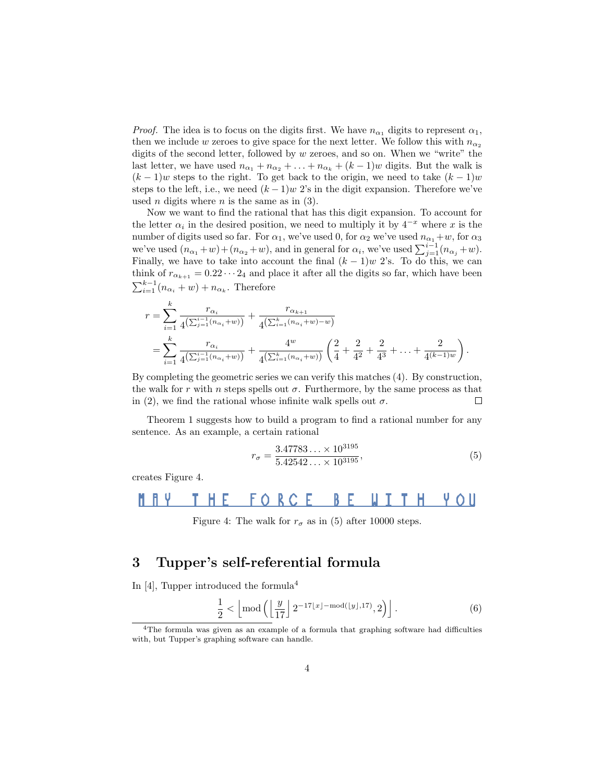*Proof.* The idea is to focus on the digits first. We have  $n_{\alpha_1}$  digits to represent  $\alpha_1$ , then we include w zeroes to give space for the next letter. We follow this with  $n_{\alpha_2}$ digits of the second letter, followed by w zeroes, and so on. When we "write" the last letter, we have used  $n_{\alpha_1} + n_{\alpha_2} + \ldots + n_{\alpha_k} + (k-1)w$  digits. But the walk is  $(k-1)w$  steps to the right. To get back to the origin, we need to take  $(k-1)w$ steps to the left, i.e., we need  $(k-1)w$  2's in the digit expansion. Therefore we've used *n* digits where *n* is the same as in  $(3)$ .

Now we want to find the rational that has this digit expansion. To account for the letter  $\alpha_i$  in the desired position, we need to multiply it by  $4^{-x}$  where x is the number of digits used so far. For  $\alpha_1$ , we've used 0, for  $\alpha_2$  we've used  $n_{\alpha_1}+w$ , for  $\alpha_3$ we've used  $(n_{\alpha_1}+w)+(n_{\alpha_2}+w)$ , and in general for  $\alpha_i$ , we've used  $\sum_{j=1}^{i-1}(n_{\alpha_j}+w)$ . Finally, we have to take into account the final  $(k-1)w$  2's. To do this, we can think of  $r_{\alpha_{k+1}} = 0.22 \cdots 2_4$  and place it after all the digits so far, which have been  $\sum_{i=1}^{k-1} (n_{\alpha_i} + w) + n_{\alpha_k}$ . Therefore

$$
r = \sum_{i=1}^{k} \frac{r_{\alpha_i}}{4(\sum_{j=1}^{i-1} (n_{\alpha_i} + w))} + \frac{r_{\alpha_{k+1}}}{4(\sum_{i=1}^{k} (n_{\alpha_i} + w) - w)}
$$
  
= 
$$
\sum_{i=1}^{k} \frac{r_{\alpha_i}}{4(\sum_{j=1}^{i-1} (n_{\alpha_i} + w))} + \frac{4^w}{4(\sum_{i=1}^{k} (n_{\alpha_i} + w))} \left(\frac{2}{4} + \frac{2}{4^2} + \frac{2}{4^3} + \dots + \frac{2}{4^{(k-1)w}}\right).
$$

By completing the geometric series we can verify this matches (4). By construction, the walk for r with n steps spells out  $\sigma$ . Furthermore, by the same process as that in (2), we find the rational whose infinite walk spells out  $\sigma$ .  $\Box$ 

Theorem 1 suggests how to build a program to find a rational number for any sentence. As an example, a certain rational

$$
r_{\sigma} = \frac{3.47783\ldots \times 10^{3195}}{5.42542\ldots \times 10^{3195}},\tag{5}
$$

creates Figure 4.

#### **FORCE** HE UITH. ĥ. BE YOU

Figure 4: The walk for  $r_{\sigma}$  as in (5) after 10000 steps.

#### 3 Tupper's self-referential formula

In [4], Tupper introduced the formula<sup>4</sup>

$$
\frac{1}{2} < \left\lfloor \mod \left( \left\lfloor \frac{y}{17} \right\rfloor 2^{-17\lfloor x \rfloor - \mod(\lfloor y \rfloor, 17)}, 2 \right) \right\rfloor. \tag{6}
$$

<sup>4</sup>The formula was given as an example of a formula that graphing software had difficulties with, but Tupper's graphing software can handle.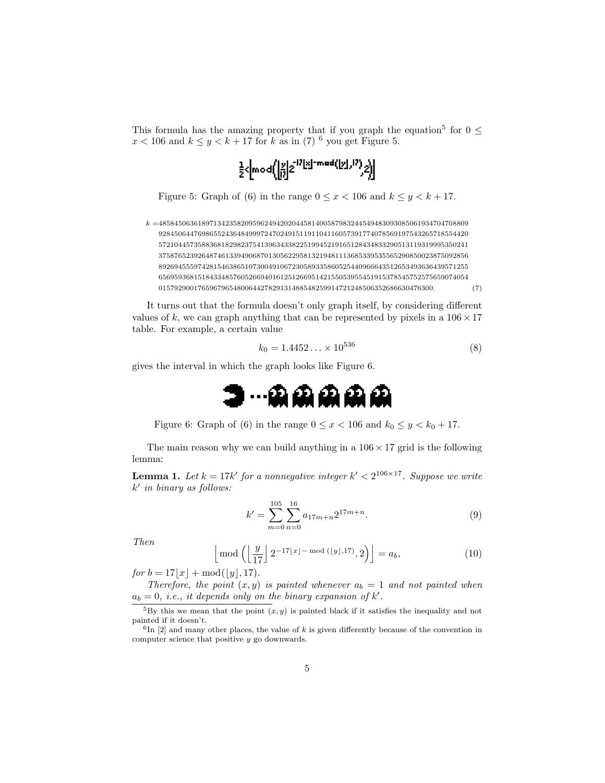This formula has the amazing property that if you graph the equation<sup>5</sup> for  $0 \leq$  $x < 106$  and  $k \leq y < k + 17$  for k as in (7)<sup>6</sup> you get Figure 5.

$$
\tfrac{1}{2}\langle \bmod \Big(\Big[\begin{matrix} x\\ 0\end{matrix}\Big]2^{\lfloor 2\lfloor x\rfloor - \bmod \Big(\big[\begin{matrix} x\\ 1\end{matrix}\big], \big)}\Big)\Big)
$$

Figure 5: Graph of (6) in the range  $0 \le x < 106$  and  $k \le y < k + 17$ .

 $k = 4858450636189713423582095962494202044581400587983244549483093085061934704708809$ 9284506447698655243648499972470249151191104116057391774078569197543265718554420 5721044573588368182982375413963433822519945219165128434833290513119319995350241 3758765239264874613394906870130562295813219481113685339535565290850023875092856 8926945559742815463865107300491067230589335860525440966643512653493636439571255 6569593681518433485760526694016125126695142155053955451915378545752575659074054 0157929001765967965480064427829131488548259914721248506352686630476300. (7)

It turns out that the formula doesn't only graph itself, by considering different values of k, we can graph anything that can be represented by pixels in a  $106 \times 17$ table. For example, a certain value

$$
k_0 = 1.4452... \times 10^{536}
$$
 (8)

gives the interval in which the graph looks like Figure 6.



Figure 6: Graph of (6) in the range  $0 \le x < 106$  and  $k_0 \le y < k_0 + 17$ .

The main reason why we can build anything in a  $106 \times 17$  grid is the following lemma:

**Lemma 1.** Let  $k = 17k'$  for a nonnegative integer  $k' < 2^{106 \times 17}$ . Suppose we write  $k'$  in binary as follows:

$$
k' = \sum_{m=0}^{105} \sum_{n=0}^{16} a_{17m+n} 2^{17m+n}.
$$
 (9)

Then

$$
\left\lfloor \bmod \left( \left\lfloor \frac{y}{17} \right\rfloor 2^{-17\lfloor x \rfloor - \bmod(\lfloor y \rfloor, 17)}, 2 \right) \right\rfloor = a_b,
$$
\n(10)

for  $b = 17|x| + \text{mod}(|y|, 17)$ .

Therefore, the point  $(x, y)$  is painted whenever  $a_b = 1$  and not painted when  $a_b = 0$ , *i.e.*, *it depends only on the binary expansion of*  $k'$ .

 ${}^{5}$ By this we mean that the point  $(x, y)$  is painted black if it satisfies the inequality and not painted if it doesn't.

 ${}^{6}$ In [2] and many other places, the value of k is given differently because of the convention in computer science that positive y go downwards.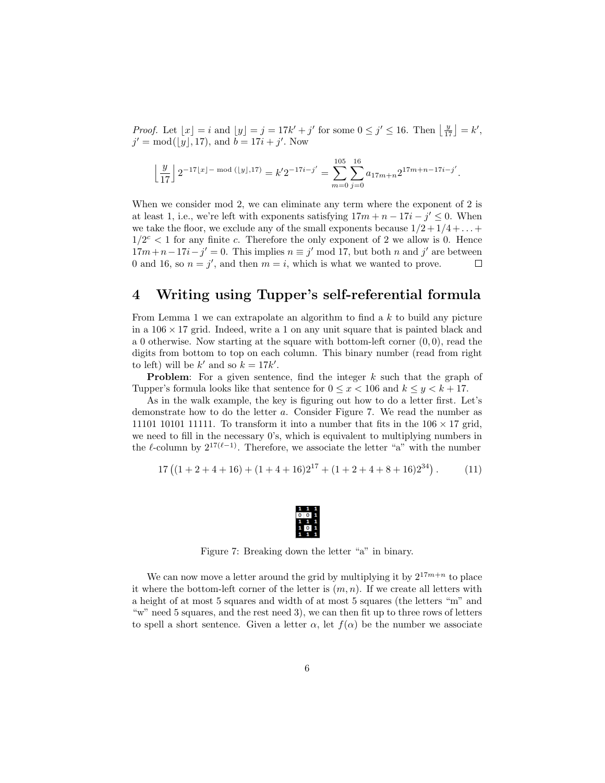*Proof.* Let  $\lfloor x \rfloor = i$  and  $\lfloor y \rfloor = j = 17k' + j'$  for some  $0 \le j' \le 16$ . Then  $\lfloor \frac{y}{17} \rfloor = k'$ ,  $j' = \text{mod}(\lfloor y \rfloor, 17)$ , and  $b = 17i + j'$ . Now

$$
\left\lfloor \frac{y}{17} \right\rfloor 2^{-17\lfloor x \rfloor - \bmod(\lfloor y \rfloor, 17)} = k' 2^{-17i - j'} = \sum_{m=0}^{105} \sum_{j=0}^{16} a_{17m+n} 2^{17m+n-17i - j'}.
$$

When we consider mod 2, we can eliminate any term where the exponent of 2 is at least 1, i.e., we're left with exponents satisfying  $17m + n - 17i - j' \leq 0$ . When we take the floor, we exclude any of the small exponents because  $1/2 + 1/4 + \ldots$  $1/2^c$  < 1 for any finite c. Therefore the only exponent of 2 we allow is 0. Hence  $17m+n-17i-j'=0$ . This implies  $n \equiv j' \mod 17$ , but both n and j' are between 0 and 16, so  $n = j'$ , and then  $m = i$ , which is what we wanted to prove.  $\Box$ 

#### 4 Writing using Tupper's self-referential formula

From Lemma 1 we can extrapolate an algorithm to find a k to build any picture in a  $106 \times 17$  grid. Indeed, write a 1 on any unit square that is painted black and a 0 otherwise. Now starting at the square with bottom-left corner  $(0, 0)$ , read the digits from bottom to top on each column. This binary number (read from right to left) will be  $k'$  and so  $k = 17k'$ .

**Problem:** For a given sentence, find the integer  $k$  such that the graph of Tupper's formula looks like that sentence for  $0 \le x \le 106$  and  $k \le y \le k + 17$ .

As in the walk example, the key is figuring out how to do a letter first. Let's demonstrate how to do the letter a. Consider Figure 7. We read the number as 11101 10101 11111. To transform it into a number that fits in the  $106 \times 17$  grid, we need to fill in the necessary  $0$ 's, which is equivalent to multiplying numbers in the  $\ell$ -column by  $2^{17(\ell-1)}$ . Therefore, we associate the letter "a" with the number

$$
17\left((1+2+4+16)+(1+4+16)2^{17}+(1+2+4+8+16)2^{34}\right). \tag{11}
$$



Figure 7: Breaking down the letter "a" in binary.

We can now move a letter around the grid by multiplying it by  $2^{17m+n}$  to place it where the bottom-left corner of the letter is  $(m, n)$ . If we create all letters with a height of at most 5 squares and width of at most 5 squares (the letters "m" and "w" need 5 squares, and the rest need 3), we can then fit up to three rows of letters to spell a short sentence. Given a letter  $\alpha$ , let  $f(\alpha)$  be the number we associate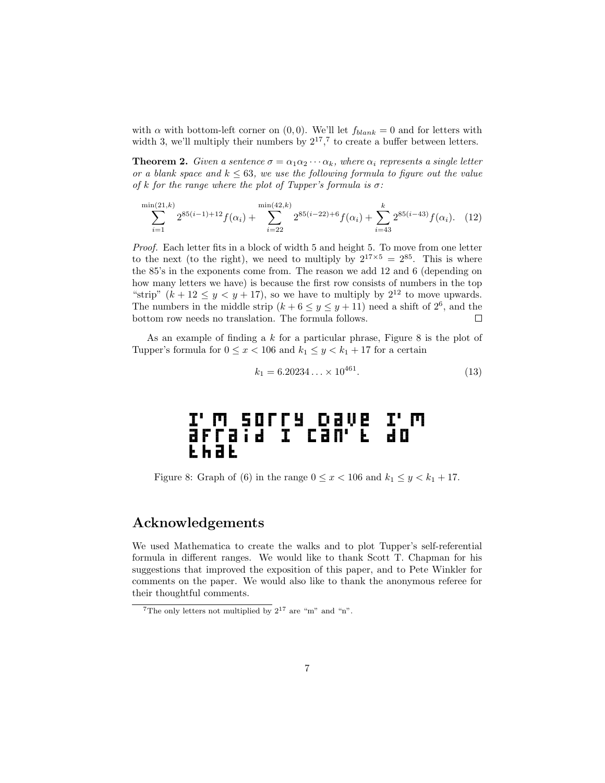with  $\alpha$  with bottom-left corner on  $(0, 0)$ . We'll let  $f_{blank} = 0$  and for letters with width 3, we'll multiply their numbers by  $2^{17}$ ,  $7$  to create a buffer between letters.

**Theorem 2.** Given a sentence  $\sigma = \alpha_1 \alpha_2 \cdots \alpha_k$ , where  $\alpha_i$  represents a single letter or a blank space and  $k \leq 63$ , we use the following formula to figure out the value of k for the range where the plot of Tupper's formula is  $\sigma$ :

$$
\sum_{i=1}^{\min(21,k)} 2^{85(i-1)+12} f(\alpha_i) + \sum_{i=22}^{\min(42,k)} 2^{85(i-22)+6} f(\alpha_i) + \sum_{i=43}^k 2^{85(i-43)} f(\alpha_i). \tag{12}
$$

Proof. Each letter fits in a block of width 5 and height 5. To move from one letter to the next (to the right), we need to multiply by  $2^{17\times5} = 2^{85}$ . This is where the 85's in the exponents come from. The reason we add 12 and 6 (depending on how many letters we have) is because the first row consists of numbers in the top "strip"  $(k + 12 \le y \le y + 17)$ , so we have to multiply by  $2^{12}$  to move upwards. The numbers in the middle strip  $(k+6 \le y \le y+11)$  need a shift of  $2^6$ , and the bottom row needs no translation. The formula follows. □

As an example of finding a  $k$  for a particular phrase, Figure 8 is the plot of Tupper's formula for  $0 \le x < 106$  and  $k_1 \le y < k_1 + 17$  for a certain

$$
k_1 = 6.20234... \times 10^{461}.
$$
 (13)

# I'M SOFFY DAVE I'M<br>affaid I can't do EĥàE

Figure 8: Graph of (6) in the range  $0 \le x < 106$  and  $k_1 \le y < k_1 + 17$ .

#### Acknowledgements

We used Mathematica to create the walks and to plot Tupper's self-referential formula in different ranges. We would like to thank Scott T. Chapman for his suggestions that improved the exposition of this paper, and to Pete Winkler for comments on the paper. We would also like to thank the anonymous referee for their thoughtful comments.

<sup>&</sup>lt;sup>7</sup>The only letters not multiplied by  $2^{17}$  are "m" and "n".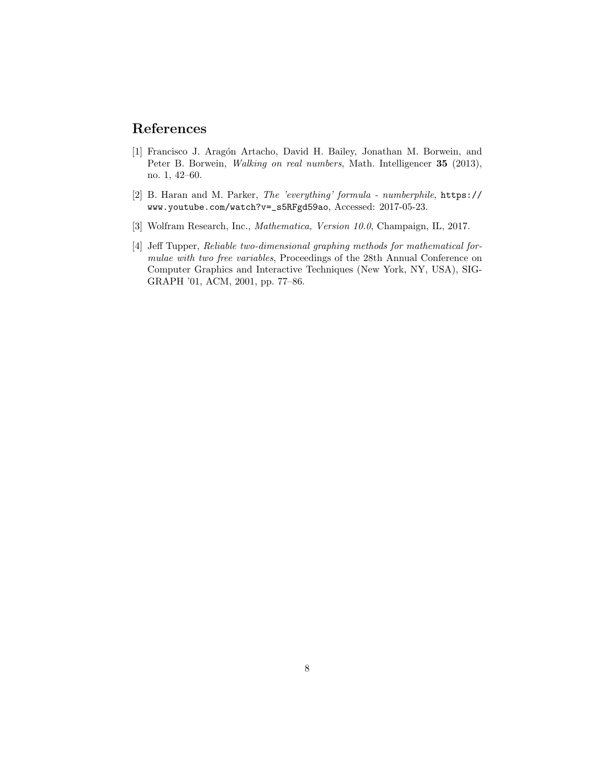#### References

- [1] Francisco J. Aragón Artacho, David H. Bailey, Jonathan M. Borwein, and Peter B. Borwein, Walking on real numbers, Math. Intelligencer 35 (2013), no. 1, 42–60.
- [2] B. Haran and M. Parker, The 'everything' formula numberphile, https:// www.youtube.com/watch?v=\_s5RFgd59ao, Accessed: 2017-05-23.
- [3] Wolfram Research, Inc., Mathematica, Version 10.0, Champaign, IL, 2017.
- [4] Jeff Tupper, Reliable two-dimensional graphing methods for mathematical formulae with two free variables, Proceedings of the 28th Annual Conference on Computer Graphics and Interactive Techniques (New York, NY, USA), SIG-GRAPH '01, ACM, 2001, pp. 77–86.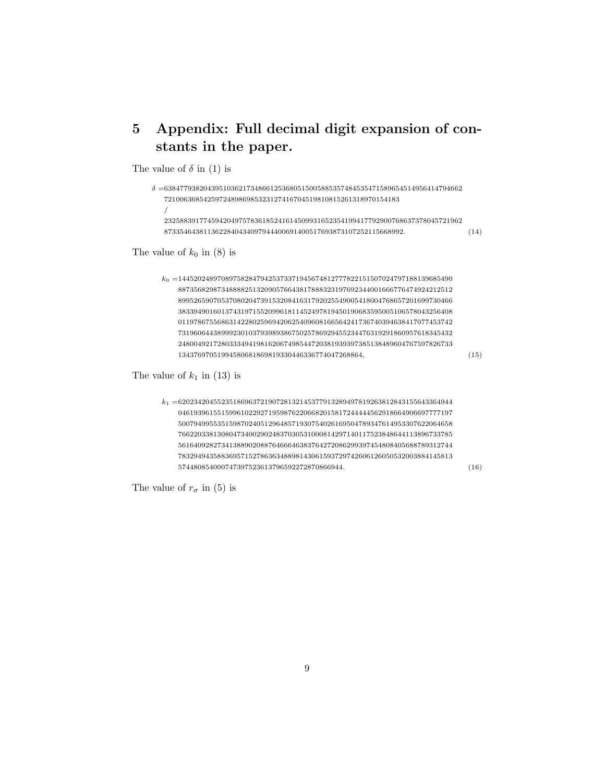### 5 Appendix: Full decimal digit expansion of constants in the paper.

The value of  $\delta$  in (1) is

 $\delta =$ 6384779382043951036217348661253680515005885357484535471589654514956414794662 /

 . (14)

The value of  $k_0$  in (8) is

 $k_0 = 1445202489708975828479425373371945674812777822151507024797188139685490$  , (15)

The value of  $k_1$  in (13) is

 $k_{1} = 6202342045523518696372190728132145377913289497819263812843155643364944$  . (16)

The value of  $r_{\sigma}$  in (5) is